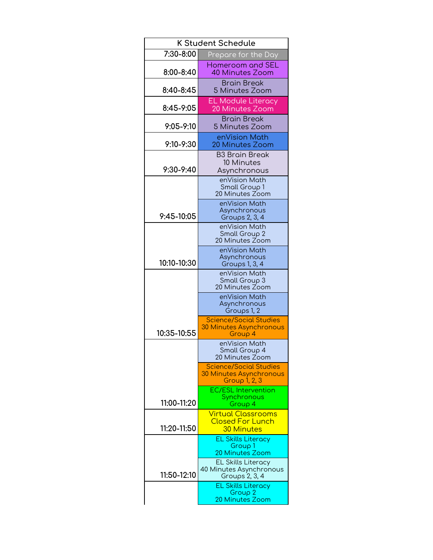| <b>K Student Schedule</b> |                                                                                                                |
|---------------------------|----------------------------------------------------------------------------------------------------------------|
| 7:30-8:00                 | Prepare for the Day                                                                                            |
| 8:00-8:40                 | Homeroom and SEL<br>40 Minutes Zoom                                                                            |
| 8:40-8:45                 | Brain Break<br>5 Minutes Zoom                                                                                  |
| 8:45-9:05                 | <b>EL Module Literacy</b><br>20 Minutes Zoom                                                                   |
| $9:05 - 9:10$             | <b>Brain Break</b><br>5 Minutes Zoom                                                                           |
| 9:10-9:30                 | enVision Math<br><b>20 Minutes Zoom</b>                                                                        |
| 9:30-9:40                 | <b>B3 Brain Break</b><br>10 Minutes<br>Asynchronous                                                            |
|                           | enVision Moth<br>Small Group 1<br>20 Minutes Zoom                                                              |
| 9:45-10:05                | enVision Math<br>Asynchronous<br><b>Groups 2, 3, 4</b>                                                         |
|                           | enVision Math<br>Small Group 2<br>20 Minutes Zoom                                                              |
| 10:10-10:30               | enVision Math<br>Asynchronous<br>Groups 1, 3, 4                                                                |
|                           | enVision Math<br>Small Group 3<br>20 Minutes Zoom                                                              |
|                           | enVision Math<br>Asynchronous<br>Groups 1, 2                                                                   |
| 10:35-10:55               | <b>Science/Social Studies</b><br><b>30 Minutes Asynchronous</b><br>Group 4                                     |
|                           | enVision Math<br>Small Group 4<br>20 Minutes Zoom                                                              |
|                           | <b>Science/Social Studies</b><br><b>30 Minutes Asynchronous</b><br>Group 1, 2, 3<br><b>EC/ESL Intervention</b> |
| 11:00-11:20               | Synchronous<br>Group 4                                                                                         |
| 11:20-11:50               | <b>Virtual Classrooms</b><br><b>Closed For Lunch</b><br><b>30 Minutes</b>                                      |
|                           | <b>EL Skills Literacy</b><br>Group 1<br><b>20 Minutes Zoom</b>                                                 |
| 11:50-12:10               | <b>EL Skills Literacy</b><br>40 Minutes Asynchronous<br>Groups 2, 3, 4                                         |
|                           | <b>EL Skills Literacy</b><br>Group 2<br><b>20 Minutes Zoom</b>                                                 |